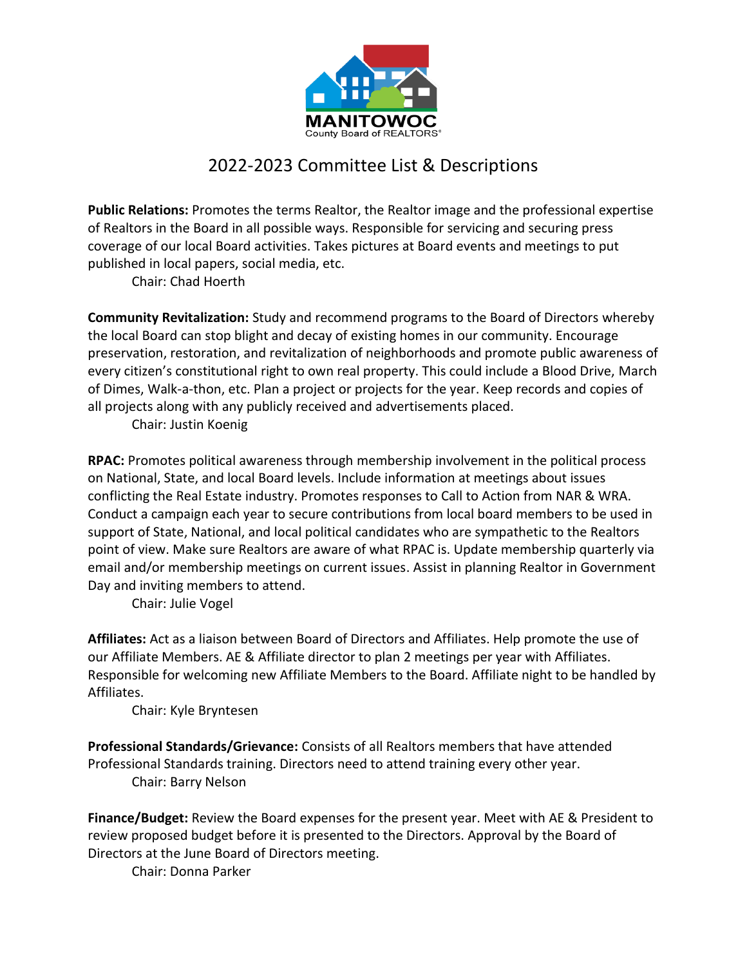

## 2022-2023 Committee List & Descriptions

**Public Relations:** Promotes the terms Realtor, the Realtor image and the professional expertise of Realtors in the Board in all possible ways. Responsible for servicing and securing press coverage of our local Board activities. Takes pictures at Board events and meetings to put published in local papers, social media, etc.

Chair: Chad Hoerth

**Community Revitalization:** Study and recommend programs to the Board of Directors whereby the local Board can stop blight and decay of existing homes in our community. Encourage preservation, restoration, and revitalization of neighborhoods and promote public awareness of every citizen's constitutional right to own real property. This could include a Blood Drive, March of Dimes, Walk-a-thon, etc. Plan a project or projects for the year. Keep records and copies of all projects along with any publicly received and advertisements placed.

Chair: Justin Koenig

**RPAC:** Promotes political awareness through membership involvement in the political process on National, State, and local Board levels. Include information at meetings about issues conflicting the Real Estate industry. Promotes responses to Call to Action from NAR & WRA. Conduct a campaign each year to secure contributions from local board members to be used in support of State, National, and local political candidates who are sympathetic to the Realtors point of view. Make sure Realtors are aware of what RPAC is. Update membership quarterly via email and/or membership meetings on current issues. Assist in planning Realtor in Government Day and inviting members to attend.

Chair: Julie Vogel

**Affiliates:** Act as a liaison between Board of Directors and Affiliates. Help promote the use of our Affiliate Members. AE & Affiliate director to plan 2 meetings per year with Affiliates. Responsible for welcoming new Affiliate Members to the Board. Affiliate night to be handled by Affiliates.

Chair: Kyle Bryntesen

**Professional Standards/Grievance:** Consists of all Realtors members that have attended Professional Standards training. Directors need to attend training every other year. Chair: Barry Nelson

**Finance/Budget:** Review the Board expenses for the present year. Meet with AE & President to review proposed budget before it is presented to the Directors. Approval by the Board of Directors at the June Board of Directors meeting.

Chair: Donna Parker